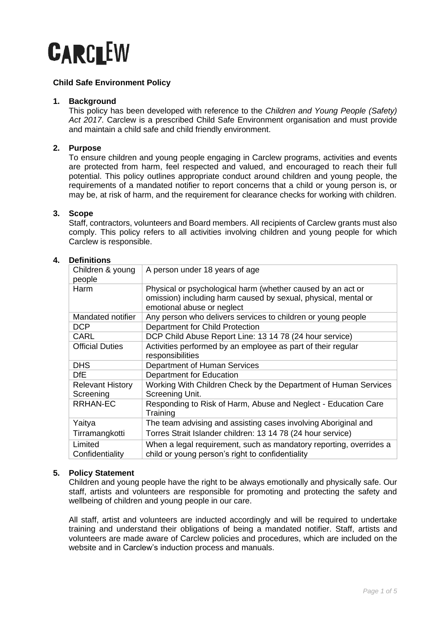

# **Child Safe Environment Policy**

### **1. Background**

This policy has been developed with reference to the *Children and Young People (Safety) Act 2017*. Carclew is a prescribed Child Safe Environment organisation and must provide and maintain a child safe and child friendly environment.

# **2. Purpose**

To ensure children and young people engaging in Carclew programs, activities and events are protected from harm, feel respected and valued, and encouraged to reach their full potential. This policy outlines appropriate conduct around children and young people, the requirements of a mandated notifier to report concerns that a child or young person is, or may be, at risk of harm, and the requirement for clearance checks for working with children.

### **3. Scope**

Staff, contractors, volunteers and Board members. All recipients of Carclew grants must also comply. This policy refers to all activities involving children and young people for which Carclew is responsible.

# **4. Definitions**

| Children & young<br>people           | A person under 18 years of age                                                                                                                              |
|--------------------------------------|-------------------------------------------------------------------------------------------------------------------------------------------------------------|
| Harm                                 | Physical or psychological harm (whether caused by an act or<br>omission) including harm caused by sexual, physical, mental or<br>emotional abuse or neglect |
| Mandated notifier                    | Any person who delivers services to children or young people                                                                                                |
| <b>DCP</b>                           | Department for Child Protection                                                                                                                             |
| <b>CARL</b>                          | DCP Child Abuse Report Line: 13 14 78 (24 hour service)                                                                                                     |
| <b>Official Duties</b>               | Activities performed by an employee as part of their regular<br>responsibilities                                                                            |
| <b>DHS</b>                           | Department of Human Services                                                                                                                                |
| DfE                                  | Department for Education                                                                                                                                    |
| <b>Relevant History</b><br>Screening | Working With Children Check by the Department of Human Services<br>Screening Unit.                                                                          |
| <b>RRHAN-EC</b>                      | Responding to Risk of Harm, Abuse and Neglect - Education Care<br>Training                                                                                  |
| Yaitya                               | The team advising and assisting cases involving Aboriginal and                                                                                              |
| Tirramangkotti                       | Torres Strait Islander children: 13 14 78 (24 hour service)                                                                                                 |
| Limited                              | When a legal requirement, such as mandatory reporting, overrides a                                                                                          |
| Confidentiality                      | child or young person's right to confidentiality                                                                                                            |

# **5. Policy Statement**

Children and young people have the right to be always emotionally and physically safe. Our staff, artists and volunteers are responsible for promoting and protecting the safety and wellbeing of children and young people in our care.

All staff, artist and volunteers are inducted accordingly and will be required to undertake training and understand their obligations of being a mandated notifier. Staff, artists and volunteers are made aware of Carclew policies and procedures, which are included on the website and in Carclew's induction process and manuals.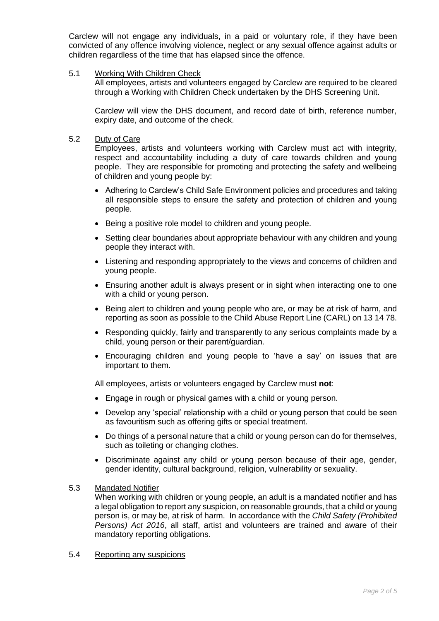Carclew will not engage any individuals, in a paid or voluntary role, if they have been convicted of any offence involving violence, neglect or any sexual offence against adults or children regardless of the time that has elapsed since the offence.

### 5.1 Working With Children Check

All employees, artists and volunteers engaged by Carclew are required to be cleared through a Working with Children Check undertaken by the DHS Screening Unit.

Carclew will view the DHS document, and record date of birth, reference number, expiry date, and outcome of the check.

### 5.2 Duty of Care

Employees, artists and volunteers working with Carclew must act with integrity, respect and accountability including a duty of care towards children and young people. They are responsible for promoting and protecting the safety and wellbeing of children and young people by:

- Adhering to Carclew's Child Safe Environment policies and procedures and taking all responsible steps to ensure the safety and protection of children and young people.
- Being a positive role model to children and young people.
- Setting clear boundaries about appropriate behaviour with any children and young people they interact with.
- Listening and responding appropriately to the views and concerns of children and young people.
- Ensuring another adult is always present or in sight when interacting one to one with a child or young person.
- Being alert to children and young people who are, or may be at risk of harm, and reporting as soon as possible to the Child Abuse Report Line (CARL) on 13 14 78.
- Responding quickly, fairly and transparently to any serious complaints made by a child, young person or their parent/guardian.
- Encouraging children and young people to 'have a say' on issues that are important to them.

All employees, artists or volunteers engaged by Carclew must **not**:

- Engage in rough or physical games with a child or young person.
- Develop any 'special' relationship with a child or young person that could be seen as favouritism such as offering gifts or special treatment.
- Do things of a personal nature that a child or young person can do for themselves, such as toileting or changing clothes.
- Discriminate against any child or young person because of their age, gender, gender identity, cultural background, religion, vulnerability or sexuality.

#### 5.3 Mandated Notifier

When working with children or young people, an adult is a mandated notifier and has a legal obligation to report any suspicion, on reasonable grounds, that a child or young person is, or may be, at risk of harm.In accordance with the *Child Safety (Prohibited Persons) Act 2016*, all staff, artist and volunteers are trained and aware of their mandatory reporting obligations.

#### 5.4 Reporting any suspicions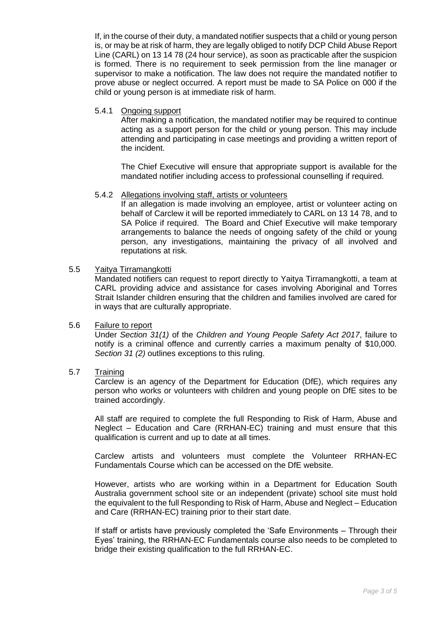If, in the course of their duty, a mandated notifier suspects that a child or young person is, or may be at risk of harm, they are legally obliged to notify DCP Child Abuse Report Line (CARL) on 13 14 78 (24 hour service), as soon as practicable after the suspicion is formed. There is no requirement to seek permission from the line manager or supervisor to make a notification. The law does not require the mandated notifier to prove abuse or neglect occurred. A report must be made to SA Police on 000 if the child or young person is at immediate risk of harm.

### 5.4.1 Ongoing support

After making a notification, the mandated notifier may be required to continue acting as a support person for the child or young person. This may include attending and participating in case meetings and providing a written report of the incident.

The Chief Executive will ensure that appropriate support is available for the mandated notifier including access to professional counselling if required.

### 5.4.2 Allegations involving staff, artists or volunteers

If an allegation is made involving an employee, artist or volunteer acting on behalf of Carclew it will be reported immediately to CARL on 13 14 78, and to SA Police if required. The Board and Chief Executive will make temporary arrangements to balance the needs of ongoing safety of the child or young person, any investigations, maintaining the privacy of all involved and reputations at risk.

### 5.5 Yaitya Tirramangkotti

Mandated notifiers can request to report directly to Yaitya Tirramangkotti, a team at CARL providing advice and assistance for cases involving Aboriginal and Torres Strait Islander children ensuring that the children and families involved are cared for in ways that are culturally appropriate.

#### 5.6 Failure to report

Under *Section 31(1)* of the *Children and Young People Safety Act 2017*, failure to notify is a criminal offence and currently carries a maximum penalty of \$10,000. *Section 31 (2)* outlines exceptions to this ruling.

# 5.7 Training

Carclew is an agency of the Department for Education (DfE), which requires any person who works or volunteers with children and young people on DfE sites to be trained accordingly.

All staff are required to complete the full Responding to Risk of Harm, Abuse and Neglect – Education and Care (RRHAN-EC) training and must ensure that this qualification is current and up to date at all times.

Carclew artists and volunteers must complete the Volunteer RRHAN-EC Fundamentals Course which can be accessed on the DfE website.

However, artists who are working within in a Department for Education South Australia government school site or an independent (private) school site must hold the equivalent to the full Responding to Risk of Harm, Abuse and Neglect – Education and Care (RRHAN-EC) training prior to their start date.

If staff or artists have previously completed the 'Safe Environments – Through their Eyes' training, the RRHAN-EC Fundamentals course also needs to be completed to bridge their existing qualification to the full RRHAN-EC.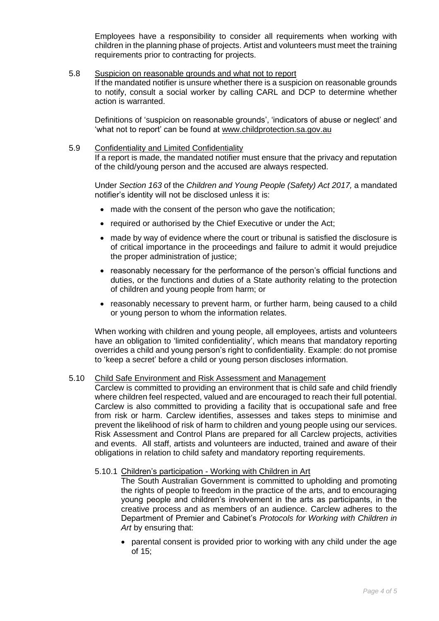Employees have a responsibility to consider all requirements when working with children in the planning phase of projects. Artist and volunteers must meet the training requirements prior to contracting for projects.

#### 5.8 Suspicion on reasonable grounds and what not to report

If the mandated notifier is unsure whether there is a suspicion on reasonable grounds to notify, consult a social worker by calling CARL and DCP to determine whether action is warranted.

Definitions of 'suspicion on reasonable grounds', 'indicators of abuse or neglect' and 'what not to report' can be found at [www.childprotection.sa.gov.au](about:blank)

### 5.9 Confidentiality and Limited Confidentiality

If a report is made, the mandated notifier must ensure that the privacy and reputation of the child/young person and the accused are always respected.

Under *Section 163* of the *Children and Young People (Safety) Act 2017,* a mandated notifier's identity will not be disclosed unless it is:

- made with the consent of the person who gave the notification:
- required or authorised by the Chief Executive or under the Act;
- made by way of evidence where the court or tribunal is satisfied the disclosure is of critical importance in the proceedings and failure to admit it would prejudice the proper administration of justice;
- reasonably necessary for the performance of the person's official functions and duties, or the functions and duties of a State authority relating to the protection of children and young people from harm; or
- reasonably necessary to prevent harm, or further harm, being caused to a child or young person to whom the information relates.

When working with children and young people, all employees, artists and volunteers have an obligation to 'limited confidentiality', which means that mandatory reporting overrides a child and young person's right to confidentiality. Example: do not promise to 'keep a secret' before a child or young person discloses information.

# 5.10 Child Safe Environment and Risk Assessment and Management

Carclew is committed to providing an environment that is child safe and child friendly where children feel respected, valued and are encouraged to reach their full potential. Carclew is also committed to providing a facility that is occupational safe and free from risk or harm. Carclew identifies, assesses and takes steps to minimise and prevent the likelihood of risk of harm to children and young people using our services. Risk Assessment and Control Plans are prepared for all Carclew projects, activities and events. All staff, artists and volunteers are inducted, trained and aware of their obligations in relation to child safety and mandatory reporting requirements.

#### 5.10.1 Children's participation - Working with Children in Art

The South Australian Government is committed to upholding and promoting the rights of people to freedom in the practice of the arts, and to encouraging young people and children's involvement in the arts as participants, in the creative process and as members of an audience. Carclew adheres to the Department of Premier and Cabinet's *Protocols for Working with Children in Art* by ensuring that:

• parental consent is provided prior to working with any child under the age of 15;